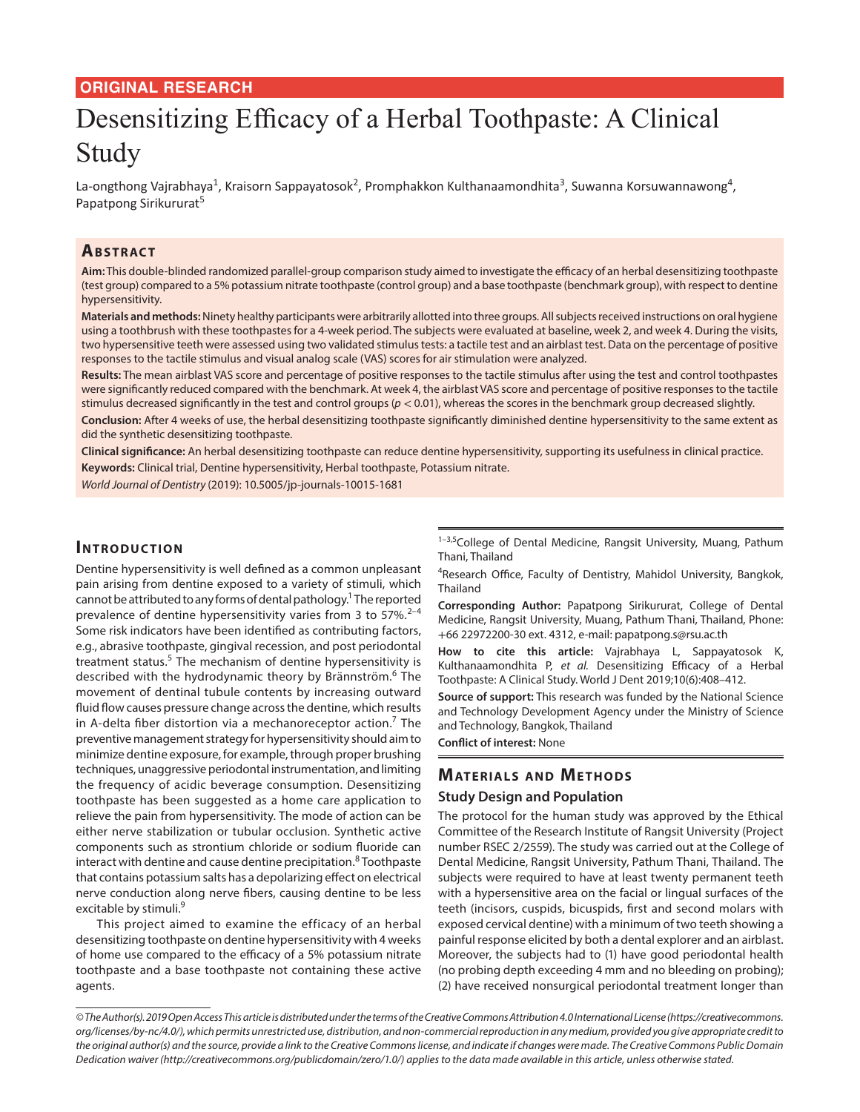# **ORIGINAL RESEARCH**

# Desensitizing Efficacy of a Herbal Toothpaste: A Clinical Study

La-ongthong Vajrabhaya<sup>1</sup>, Kraisorn Sappayatosok<sup>2</sup>, Promphakkon Kulthanaamondhita<sup>3</sup>, Suwanna Korsuwannawong<sup>4</sup>, Papatpong Sirikururat<sup>5</sup>

# **ABSTRACT**

**Aim:** This double-blinded randomized parallel-group comparison study aimed to investigate the efficacy of an herbal desensitizing toothpaste (test group) compared to a 5% potassium nitrate toothpaste (control group) and a base toothpaste (benchmark group), with respect to dentine hypersensitivity.

**Materials and methods:** Ninety healthy participants were arbitrarily allotted into three groups. All subjects received instructions on oral hygiene using a toothbrush with these toothpastes for a 4-week period. The subjects were evaluated at baseline, week 2, and week 4. During the visits, two hypersensitive teeth were assessed using two validated stimulus tests: a tactile test and an airblast test. Data on the percentage of positive responses to the tactile stimulus and visual analog scale (VAS) scores for air stimulation were analyzed.

**Results:** The mean airblast VAS score and percentage of positive responses to the tactile stimulus after using the test and control toothpastes were significantly reduced compared with the benchmark. At week 4, the airblast VAS score and percentage of positive responses to the tactile stimulus decreased significantly in the test and control groups (*p* < 0.01), whereas the scores in the benchmark group decreased slightly.

**Conclusion:** After 4 weeks of use, the herbal desensitizing toothpaste significantly diminished dentine hypersensitivity to the same extent as did the synthetic desensitizing toothpaste.

**Clinical significance:** An herbal desensitizing toothpaste can reduce dentine hypersensitivity, supporting its usefulness in clinical practice. **Keywords:** Clinical trial, Dentine hypersensitivity, Herbal toothpaste, Potassium nitrate.

*World Journal of Dentistry* (2019): 10.5005/jp-journals-10015-1681

# **INTRODUCTION**

Dentine hypersensitivity is well defined as a common unpleasant pain arising from dentine exposed to a variety of stimuli, which cannot be attributed to any forms of dental pathology.<sup>1</sup> The reported prevalence of dentine hypersensitivity varies from 3 to  $57\%$ .<sup>2-4</sup> Some risk indicators have been identified as contributing factors, e.g., abrasive toothpaste, gingival recession, and post periodontal treatment status.<sup>5</sup> The mechanism of dentine hypersensitivity is described with the hydrodynamic theory by Brännström.<sup>6</sup> The movement of dentinal tubule contents by increasing outward fluid flow causes pressure change across the dentine, which results in A-delta fiber distortion via a mechanoreceptor action.<sup>7</sup> The preventive management strategy for hypersensitivity should aim to minimize dentine exposure, for example, through proper brushing techniques, unaggressive periodontal instrumentation, and limiting the frequency of acidic beverage consumption. Desensitizing toothpaste has been suggested as a home care application to relieve the pain from hypersensitivity. The mode of action can be either nerve stabilization or tubular occlusion. Synthetic active components such as strontium chloride or sodium fluoride can interact with dentine and cause dentine precipitation. ${}^{8}$  Toothpaste that contains potassium salts has a depolarizing effect on electrical nerve conduction along nerve fibers, causing dentine to be less excitable by stimuli.<sup>9</sup>

This project aimed to examine the efficacy of an herbal desensitizing toothpaste on dentine hypersensitivity with 4 weeks of home use compared to the efficacy of a 5% potassium nitrate toothpaste and a base toothpaste not containing these active agents.

 $1-3,5$ College of Dental Medicine, Rangsit University, Muang, Pathum Thani, Thailand

<sup>4</sup>Research Office, Faculty of Dentistry, Mahidol University, Bangkok, Thailand

**Corresponding Author:** Papatpong Sirikururat, College of Dental Medicine, Rangsit University, Muang, Pathum Thani, Thailand, Phone: +66 22972200-30 ext. 4312, e-mail: papatpong.s@rsu.ac.th

**How to cite this article:** Vajrabhaya L, Sappayatosok K, Kulthanaamondhita P, *et al.* Desensitizing Efficacy of a Herbal Toothpaste: A Clinical Study. World J Dent 2019;10(6):408–412.

**Source of support:** This research was funded by the National Science and Technology Development Agency under the Ministry of Science and Technology, Bangkok, Thailand

**Conflict of interest:** None

## **MATERIALS AND METHODS**

## **Study Design and Population**

The protocol for the human study was approved by the Ethical Committee of the Research Institute of Rangsit University (Project number RSEC 2/2559). The study was carried out at the College of Dental Medicine, Rangsit University, Pathum Thani, Thailand. The subjects were required to have at least twenty permanent teeth with a hypersensitive area on the facial or lingual surfaces of the teeth (incisors, cuspids, bicuspids, first and second molars with exposed cervical dentine) with a minimum of two teeth showing a painful response elicited by both a dental explorer and an airblast. Moreover, the subjects had to (1) have good periodontal health (no probing depth exceeding 4 mm and no bleeding on probing); (2) have received nonsurgical periodontal treatment longer than

*<sup>©</sup> The Author(s). 2019 Open Access This article is distributed under the terms of the Creative Commons Attribution 4.0 International License (https://creativecommons. org/licenses/by-nc/4.0/), which permits unrestricted use, distribution, and non-commercial reproduction in any medium, provided you give appropriate credit to the original author(s) and the source, provide a link to the Creative Commons license, and indicate if changes were made. The Creative Commons Public Domain Dedication waiver (http://creativecommons.org/publicdomain/zero/1.0/) applies to the data made available in this article, unless otherwise stated.*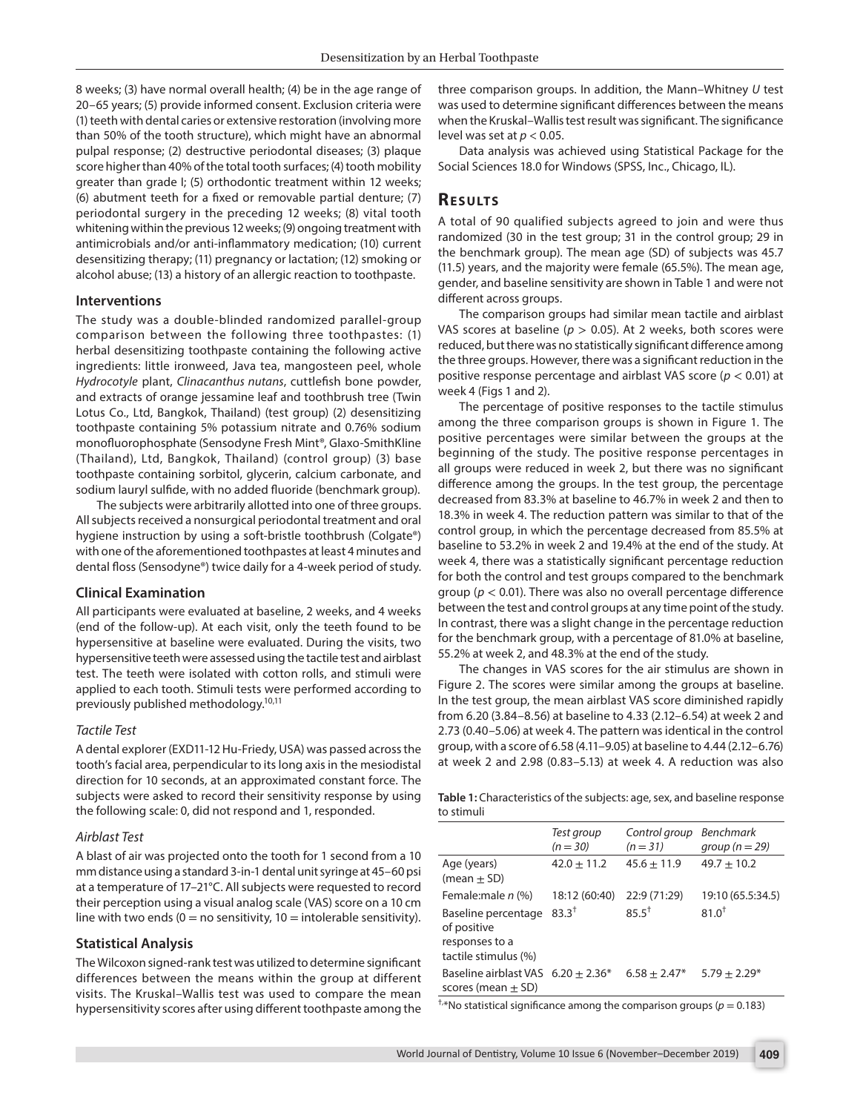8 weeks; (3) have normal overall health; (4) be in the age range of 20–65 years; (5) provide informed consent. Exclusion criteria were (1) teeth with dental caries or extensive restoration (involving more than 50% of the tooth structure), which might have an abnormal pulpal response; (2) destructive periodontal diseases; (3) plaque score higher than 40% of the total tooth surfaces; (4) tooth mobility greater than grade I; (5) orthodontic treatment within 12 weeks; (6) abutment teeth for a fixed or removable partial denture; (7) periodontal surgery in the preceding 12 weeks; (8) vital tooth whitening within the previous 12 weeks; (9) ongoing treatment with antimicrobials and/or anti-inflammatory medication; (10) current desensitizing therapy; (11) pregnancy or lactation; (12) smoking or alcohol abuse; (13) a history of an allergic reaction to toothpaste.

#### **Interventions**

The study was a double-blinded randomized parallel-group comparison between the following three toothpastes: (1) herbal desensitizing toothpaste containing the following active ingredients: little ironweed, Java tea, mangosteen peel, whole *Hydrocotyle* plant, *Clinacanthus nutans*, cuttlefish bone powder, and extracts of orange jessamine leaf and toothbrush tree (Twin Lotus Co., Ltd, Bangkok, Thailand) (test group) (2) desensitizing toothpaste containing 5% potassium nitrate and 0.76% sodium monofluorophosphate (Sensodyne Fresh Mint®, Glaxo-SmithKline (Thailand), Ltd, Bangkok, Thailand) (control group) (3) base toothpaste containing sorbitol, glycerin, calcium carbonate, and sodium lauryl sulfide, with no added fluoride (benchmark group).

The subjects were arbitrarily allotted into one of three groups. All subjects received a nonsurgical periodontal treatment and oral hygiene instruction by using a soft-bristle toothbrush (Colgate®) with one of the aforementioned toothpastes at least 4 minutes and dental floss (Sensodyne®) twice daily for a 4-week period of study.

#### **Clinical Examination**

All participants were evaluated at baseline, 2 weeks, and 4 weeks (end of the follow-up). At each visit, only the teeth found to be hypersensitive at baseline were evaluated. During the visits, two hypersensitive teeth were assessed using the tactile test and airblast test. The teeth were isolated with cotton rolls, and stimuli were applied to each tooth. Stimuli tests were performed according to previously published methodology.<sup>10,11</sup>

#### *Tactile Test*

A dental explorer (EXD11-12 Hu-Friedy, USA) was passed across the tooth's facial area, perpendicular to its long axis in the mesiodistal direction for 10 seconds, at an approximated constant force. The subjects were asked to record their sensitivity response by using the following scale: 0, did not respond and 1, responded.

#### *Airblast Test*

A blast of air was projected onto the tooth for 1 second from a 10 mm distance using a standard 3-in-1 dental unit syringe at 45–60 psi at a temperature of 17–21°C. All subjects were requested to record their perception using a visual analog scale (VAS) score on a 10 cm line with two ends  $(0 = no$  sensitivity,  $10 =$  intolerable sensitivity).

#### **Statistical Analysis**

The Wilcoxon signed-rank test was utilized to determine significant differences between the means within the group at different visits. The Kruskal–Wallis test was used to compare the mean hypersensitivity scores after using different toothpaste among the

three comparison groups. In addition, the Mann–Whitney *U* test was used to determine significant differences between the means when the Kruskal–Wallis test result was significant. The significance level was set at *p* < 0.05.

Data analysis was achieved using Statistical Package for the Social Sciences 18.0 for Windows (SPSS, Inc., Chicago, IL).

## **Re s u lts**

A total of 90 qualified subjects agreed to join and were thus randomized (30 in the test group; 31 in the control group; 29 in the benchmark group). The mean age (SD) of subjects was 45.7 (11.5) years, and the majority were female (65.5%). The mean age, gender, and baseline sensitivity are shown in Table 1 and were not different across groups.

The comparison groups had similar mean tactile and airblast VAS scores at baseline ( $p > 0.05$ ). At 2 weeks, both scores were reduced, but there was no statistically significant difference among the three groups. However, there was a significant reduction in the positive response percentage and airblast VAS score (*p* < 0.01) at week 4 (Figs 1 and 2).

The percentage of positive responses to the tactile stimulus among the three comparison groups is shown in Figure 1. The positive percentages were similar between the groups at the beginning of the study. The positive response percentages in all groups were reduced in week 2, but there was no significant difference among the groups. In the test group, the percentage decreased from 83.3% at baseline to 46.7% in week 2 and then to 18.3% in week 4. The reduction pattern was similar to that of the control group, in which the percentage decreased from 85.5% at baseline to 53.2% in week 2 and 19.4% at the end of the study. At week 4, there was a statistically significant percentage reduction for both the control and test groups compared to the benchmark group (*p* < 0.01). There was also no overall percentage difference between the test and control groups at any time point of the study. In contrast, there was a slight change in the percentage reduction for the benchmark group, with a percentage of 81.0% at baseline, 55.2% at week 2, and 48.3% at the end of the study.

The changes in VAS scores for the air stimulus are shown in Figure 2. The scores were similar among the groups at baseline. In the test group, the mean airblast VAS score diminished rapidly from 6.20 (3.84–8.56) at baseline to 4.33 (2.12–6.54) at week 2 and 2.73 (0.40–5.06) at week 4. The pattern was identical in the control group, with a score of 6.58 (4.11–9.05) at baseline to 4.44 (2.12–6.76) at week 2 and 2.98 (0.83–5.13) at week 4. A reduction was also

**Table 1:** Characteristics of the subjects: age, sex, and baseline response to stimuli

|                                                                   | Test group<br>$(n = 30)$ | Control group<br>$(n=31)$ | <b>Benchmark</b><br>group ( $n = 29$ ) |
|-------------------------------------------------------------------|--------------------------|---------------------------|----------------------------------------|
| Age (years)<br>(mean $\pm$ SD)                                    | $42.0 + 11.2$            | $45.6 \pm 11.9$           | $49.7 + 10.2$                          |
| Female:male n (%)                                                 | 18:12 (60:40)            | 22:9 (71:29)              | 19:10 (65.5:34.5)                      |
| Baseline percentage<br>of positive                                | $83.3^{+}$               | $85.5^+$                  | $81.0^{+}$                             |
| responses to a<br>tactile stimulus (%)                            |                          |                           |                                        |
| Baseline airblast VAS $6.20 \pm 2.36^*$<br>scores (mean $\pm$ SD) |                          | $6.58 \pm 2.47*$          | $5.79 \pm 2.29*$                       |

<sup>†,\*</sup>No statistical significance among the comparison groups ( $p = 0.183$ )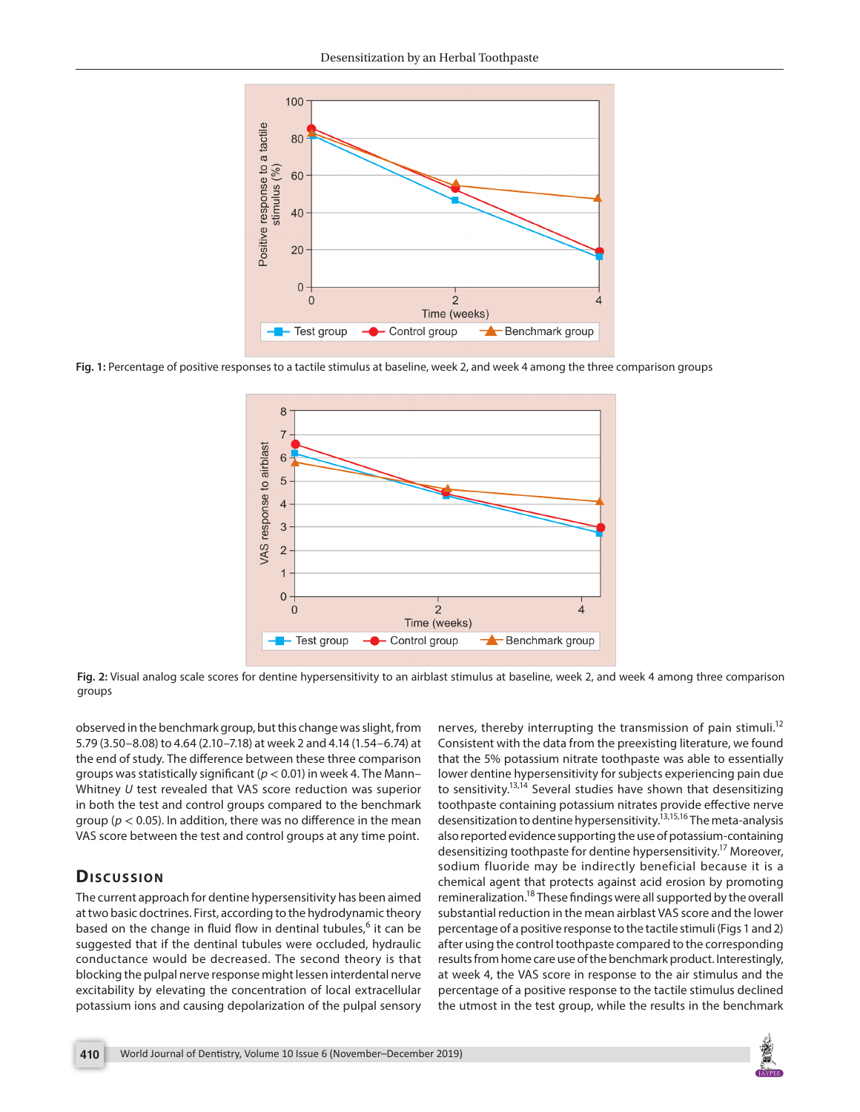

**Fig. 1:** Percentage of positive responses to a tactile stimulus at baseline, week 2, and week 4 among the three comparison groups



**Fig. 2:** Visual analog scale scores for dentine hypersensitivity to an airblast stimulus at baseline, week 2, and week 4 among three comparison groups

observed in the benchmark group, but this change was slight, from 5.79 (3.50–8.08) to 4.64 (2.10–7.18) at week 2 and 4.14 (1.54–6.74) at the end of study. The difference between these three comparison groups was statistically significant (*p* < 0.01) in week 4. The Mann– Whitney *U* test revealed that VAS score reduction was superior in both the test and control groups compared to the benchmark group (*p* < 0.05). In addition, there was no difference in the mean VAS score between the test and control groups at any time point.

# **Dis c u s sio n**

The current approach for dentine hypersensitivity has been aimed at two basic doctrines. First, according to the hydrodynamic theory based on the change in fluid flow in dentinal tubules,<sup>6</sup> it can be suggested that if the dentinal tubules were occluded, hydraulic conductance would be decreased. The second theory is that blocking the pulpal nerve response might lessen interdental nerve excitability by elevating the concentration of local extracellular potassium ions and causing depolarization of the pulpal sensory

nerves, thereby interrupting the transmission of pain stimuli.<sup>12</sup> Consistent with the data from the preexisting literature, we found that the 5% potassium nitrate toothpaste was able to essentially lower dentine hypersensitivity for subjects experiencing pain due to sensitivity.<sup>13,14</sup> Several studies have shown that desensitizing toothpaste containing potassium nitrates provide effective nerve desensitization to dentine hypersensitivity.<sup>13,15,16</sup> The meta-analysis also reported evidence supporting the use of potassium-containing desensitizing toothpaste for dentine hypersensitivity.<sup>17</sup> Moreover, sodium fluoride may be indirectly beneficial because it is a chemical agent that protects against acid erosion by promoting remineralization.<sup>18</sup> These findings were all supported by the overall substantial reduction in the mean airblast VAS score and the lower percentage of a positive response to the tactile stimuli (Figs 1 and 2) after using the control toothpaste compared to the corresponding results from home care use of the benchmark product. Interestingly, at week 4, the VAS score in response to the air stimulus and the percentage of a positive response to the tactile stimulus declined the utmost in the test group, while the results in the benchmark

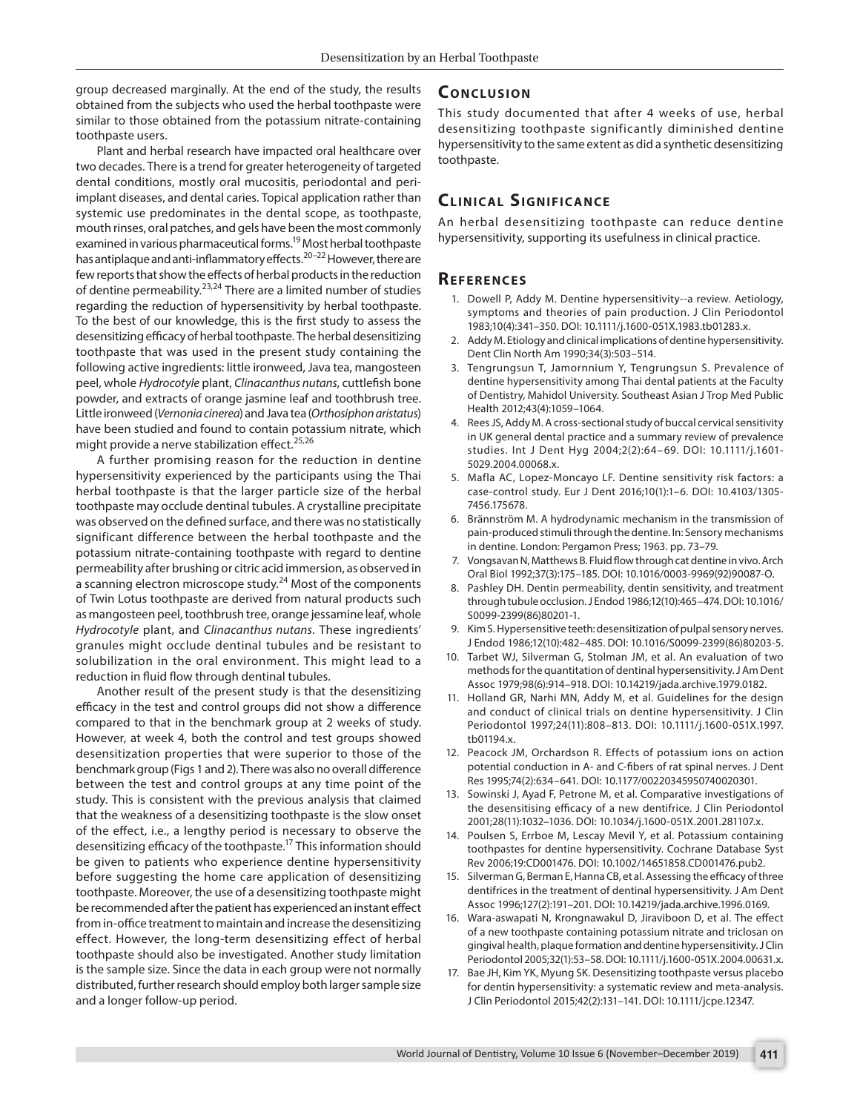group decreased marginally. At the end of the study, the results obtained from the subjects who used the herbal toothpaste were similar to those obtained from the potassium nitrate-containing toothpaste users.

Plant and herbal research have impacted oral healthcare over two decades. There is a trend for greater heterogeneity of targeted dental conditions, mostly oral mucositis, periodontal and periimplant diseases, and dental caries. Topical application rather than systemic use predominates in the dental scope, as toothpaste, mouth rinses, oral patches, and gels have been the most commonly examined in various pharmaceutical forms.19 Most herbal toothpaste has antiplaque and anti-inflammatory effects.<sup>20–22</sup> However, there are few reports that show the effects of herbal products in the reduction of dentine permeability.<sup>23,24</sup> There are a limited number of studies regarding the reduction of hypersensitivity by herbal toothpaste. To the best of our knowledge, this is the first study to assess the desensitizing efficacy of herbal toothpaste. The herbal desensitizing toothpaste that was used in the present study containing the following active ingredients: little ironweed, Java tea, mangosteen peel, whole *Hydrocotyle* plant, *Clinacanthus nutans*, cuttlefish bone powder, and extracts of orange jasmine leaf and toothbrush tree. Little ironweed (*Vernonia cinerea*) and Java tea (*Orthosiphon aristatus*) have been studied and found to contain potassium nitrate, which might provide a nerve stabilization effect.<sup>25,26</sup>

A further promising reason for the reduction in dentine hypersensitivity experienced by the participants using the Thai herbal toothpaste is that the larger particle size of the herbal toothpaste may occlude dentinal tubules. A crystalline precipitate was observed on the defined surface, and there was no statistically significant difference between the herbal toothpaste and the potassium nitrate-containing toothpaste with regard to dentine permeability after brushing or citric acid immersion, as observed in a scanning electron microscope study.<sup>24</sup> Most of the components of Twin Lotus toothpaste are derived from natural products such as mangosteen peel, toothbrush tree, orange jessamine leaf, whole *Hydrocotyle* plant, and *Clinacanthus nutans*. These ingredients' granules might occlude dentinal tubules and be resistant to solubilization in the oral environment. This might lead to a reduction in fluid flow through dentinal tubules.

Another result of the present study is that the desensitizing efficacy in the test and control groups did not show a difference compared to that in the benchmark group at 2 weeks of study. However, at week 4, both the control and test groups showed desensitization properties that were superior to those of the benchmark group (Figs 1 and 2). There was also no overall difference between the test and control groups at any time point of the study. This is consistent with the previous analysis that claimed that the weakness of a desensitizing toothpaste is the slow onset of the effect, i.e., a lengthy period is necessary to observe the desensitizing efficacy of the toothpaste.17 This information should be given to patients who experience dentine hypersensitivity before suggesting the home care application of desensitizing toothpaste. Moreover, the use of a desensitizing toothpaste might be recommended after the patient has experienced an instant effect from in-office treatment to maintain and increase the desensitizing effect. However, the long-term desensitizing effect of herbal toothpaste should also be investigated. Another study limitation is the sample size. Since the data in each group were not normally distributed, further research should employ both larger sample size and a longer follow-up period.

# **CONCLUSION**

This study documented that after 4 weeks of use, herbal desensitizing toothpaste significantly diminished dentine hypersensitivity to the same extent as did a synthetic desensitizing toothpaste.

# **CLINICAL SIGNIFICANCE**

An herbal desensitizing toothpaste can reduce dentine hypersensitivity, supporting its usefulness in clinical practice.

### **Re f e r e n c e s**

- 1. Dowell P, Addy M. Dentine hypersensitivity--a review. Aetiology, symptoms and theories of pain production. J Clin Periodontol 1983;10(4):341–350. DOI: 10.1111/j.1600-051X.1983.tb01283.x.
- 2. Addy M. Etiology and clinical implications of dentine hypersensitivity. Dent Clin North Am 1990;34(3):503–514.
- 3. Tengrungsun T, Jamornnium Y, Tengrungsun S. Prevalence of dentine hypersensitivity among Thai dental patients at the Faculty of Dentistry, Mahidol University. Southeast Asian J Trop Med Public Health 2012;43(4):1059–1064.
- 4. Rees JS, Addy M. A cross-sectional study of buccal cervical sensitivity in UK general dental practice and a summary review of prevalence studies. Int J Dent Hyg 2004;2(2):64–69. DOI: 10.1111/j.1601- 5029.2004.00068.x.
- 5. Mafla AC, Lopez-Moncayo LF. Dentine sensitivity risk factors: a case-control study. Eur J Dent 2016;10(1):1–6. DOI: 10.4103/1305- 7456.175678.
- 6. Brännström M. A hydrodynamic mechanism in the transmission of pain-produced stimuli through the dentine. In: Sensory mechanisms in dentine. London: Pergamon Press; 1963. pp. 73–79.
- 7. Vongsavan N, Matthews B. Fluid flow through cat dentine in vivo. Arch Oral Biol 1992;37(3):175–185. DOI: 10.1016/0003-9969(92)90087-O.
- 8. Pashley DH. Dentin permeability, dentin sensitivity, and treatment through tubule occlusion. J Endod 1986;12(10):465–474. DOI: 10.1016/ S0099-2399(86)80201-1.
- 9. Kim S. Hypersensitive teeth: desensitization of pulpal sensory nerves. J Endod 1986;12(10):482–485. DOI: 10.1016/S0099-2399(86)80203-5.
- 10. Tarbet WJ, Silverman G, Stolman JM, et al. An evaluation of two methods for the quantitation of dentinal hypersensitivity. J Am Dent Assoc 1979;98(6):914–918. DOI: 10.14219/jada.archive.1979.0182.
- 11. Holland GR, Narhi MN, Addy M, et al. Guidelines for the design and conduct of clinical trials on dentine hypersensitivity. J Clin Periodontol 1997;24(11):808–813. DOI: 10.1111/j.1600-051X.1997. tb01194.x.
- 12. Peacock JM, Orchardson R. Effects of potassium ions on action potential conduction in A- and C-fibers of rat spinal nerves. J Dent Res 1995;74(2):634–641. DOI: 10.1177/00220345950740020301.
- 13. Sowinski J, Ayad F, Petrone M, et al. Comparative investigations of the desensitising efficacy of a new dentifrice. J Clin Periodontol 2001;28(11):1032–1036. DOI: 10.1034/j.1600-051X.2001.281107.x.
- 14. Poulsen S, Errboe M, Lescay Mevil Y, et al. Potassium containing toothpastes for dentine hypersensitivity. Cochrane Database Syst Rev 2006;19:CD001476. DOI: 10.1002/14651858.CD001476.pub2.
- 15. Silverman G, Berman E, Hanna CB, et al. Assessing the efficacy of three dentifrices in the treatment of dentinal hypersensitivity. J Am Dent Assoc 1996;127(2):191–201. DOI: 10.14219/jada.archive.1996.0169.
- 16. Wara-aswapati N, Krongnawakul D, Jiraviboon D, et al. The effect of a new toothpaste containing potassium nitrate and triclosan on gingival health, plaque formation and dentine hypersensitivity. J Clin Periodontol 2005;32(1):53–58. DOI: 10.1111/j.1600-051X.2004.00631.x.
- 17. Bae JH, Kim YK, Myung SK. Desensitizing toothpaste versus placebo for dentin hypersensitivity: a systematic review and meta-analysis. J Clin Periodontol 2015;42(2):131–141. DOI: 10.1111/jcpe.12347.